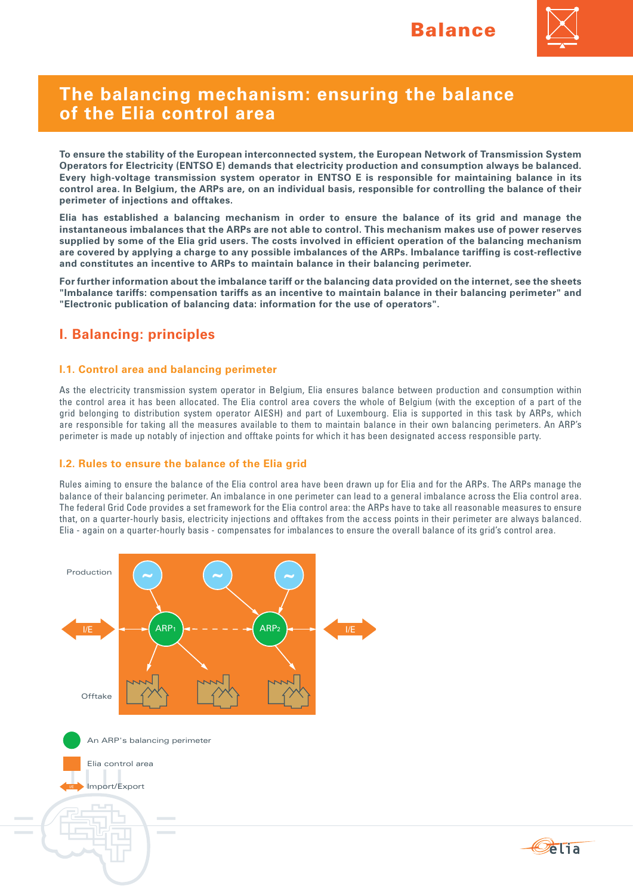

# **The balancing mechanism: ensuring the balance of the Elia control area**

**To ensure the stability of the European interconnected system, the European Network of Transmission System Operators for Electricity (ENTSO E) demands that electricity production and consumption always be balanced. Every high-voltage transmission system operator in ENTSO E is responsible for maintaining balance in its control area. In Belgium, the ARPs are, on an individual basis, responsible for controlling the balance of their perimeter of injections and offtakes.** 

**Elia has established a balancing mechanism in order to ensure the balance of its grid and manage the instantaneous imbalances that the ARPs are not able to control. This mechanism makes use of power reserves supplied by some of the Elia grid users. The costs involved in efficient operation of the balancing mechanism are covered by applying a charge to any possible imbalances of the ARPs. Imbalance tariffing is cost-reflective and constitutes an incentive to ARPs to maintain balance in their balancing perimeter.**

**For further information about the imbalance tariff or the balancing data provided on the internet, see the sheets "Imbalance tariffs: compensation tariffs as an incentive to maintain balance in their balancing perimeter" and "Electronic publication of balancing data: information for the use of operators".** 

# **I. Balancing: principles**

### **I.1. Control area and balancing perimeter**

As the electricity transmission system operator in Belgium, Elia ensures balance between production and consumption within the control area it has been allocated. The Elia control area covers the whole of Belgium (with the exception of a part of the grid belonging to distribution system operator AIESH) and part of Luxembourg. Elia is supported in this task by ARPs, which are responsible for taking all the measures available to them to maintain balance in their own balancing perimeters. An ARP's perimeter is made up notably of injection and offtake points for which it has been designated access responsible party.

### **I.2. Rules to ensure the balance of the Elia grid**

Rules aiming to ensure the balance of the Elia control area have been drawn up for Elia and for the ARPs. The ARPs manage the balance of their balancing perimeter. An imbalance in one perimeter can lead to a general imbalance across the Elia control area. The federal Grid Code provides a set framework for the Elia control area: the ARPs have to take all reasonable measures to ensure that, on a quarter-hourly basis, electricity injections and offtakes from the access points in their perimeter are always balanced. Elia - again on a quarter-hourly basis - compensates for imbalances to ensure the overall balance of its grid's control area.



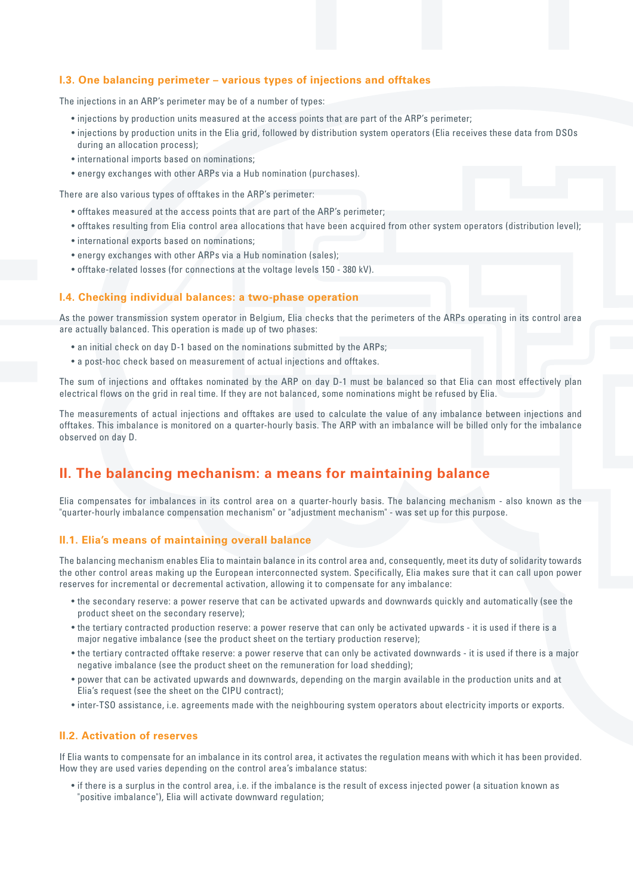### **I.3. One balancing perimeter – various types of injections and offtakes**

The injections in an ARP's perimeter may be of a number of types:

- injections by production units measured at the access points that are part of the ARP's perimeter;
- injections by production units in the Elia grid, followed by distribution system operators (Elia receives these data from DSOs during an allocation process);
- international imports based on nominations;
- energy exchanges with other ARPs via a Hub nomination (purchases).

There are also various types of offtakes in the ARP's perimeter:

- offtakes measured at the access points that are part of the ARP's perimeter;
- • offtakes resulting from Elia control area allocations that have been acquired from other system operators (distribution level);
- international exports based on nominations:
- energy exchanges with other ARPs via a Hub nomination (sales);
- • offtake-related losses (for connections at the voltage levels 150 380 kV).

#### **I.4. Checking individual balances: a two-phase operation**

As the power transmission system operator in Belgium, Elia checks that the perimeters of the ARPs operating in its control area are actually balanced. This operation is made up of two phases:

- an initial check on day D-1 based on the nominations submitted by the ARPs;
- a post-hoc check based on measurement of actual injections and offtakes.

The sum of injections and offtakes nominated by the ARP on day D-1 must be balanced so that Elia can most effectively plan electrical flows on the grid in real time. If they are not balanced, some nominations might be refused by Elia.

The measurements of actual injections and offtakes are used to calculate the value of any imbalance between injections and offtakes. This imbalance is monitored on a quarter-hourly basis. The ARP with an imbalance will be billed only for the imbalance observed on day D.

### **II. The balancing mechanism: a means for maintaining balance**

Elia compensates for imbalances in its control area on a quarter-hourly basis. The balancing mechanism - also known as the "quarter-hourly imbalance compensation mechanism" or "adjustment mechanism" - was set up for this purpose.

### **II.1. Elia's means of maintaining overall balance**

The balancing mechanism enables Elia to maintain balance in its control area and, consequently, meet its duty of solidarity towards the other control areas making up the European interconnected system. Specifically, Elia makes sure that it can call upon power reserves for incremental or decremental activation, allowing it to compensate for any imbalance:

- the secondary reserve: a power reserve that can be activated upwards and downwards quickly and automatically (see the product sheet on the secondary reserve);
- • the tertiary contracted production reserve: a power reserve that can only be activated upwards it is used if there is a major negative imbalance (see the product sheet on the tertiary production reserve);
- • the tertiary contracted offtake reserve: a power reserve that can only be activated downwards it is used if there is a major negative imbalance (see the product sheet on the remuneration for load shedding);
- • power that can be activated upwards and downwards, depending on the margin available in the production units and at Elia's request (see the sheet on the CIPU contract);
- inter-TSO assistance, i.e. agreements made with the neighbouring system operators about electricity imports or exports.

#### **II.2. Activation of reserves**

If Elia wants to compensate for an imbalance in its control area, it activates the regulation means with which it has been provided. How they are used varies depending on the control area's imbalance status:

• if there is a surplus in the control area, i.e. if the imbalance is the result of excess injected power (a situation known as "positive imbalance"), Elia will activate downward regulation;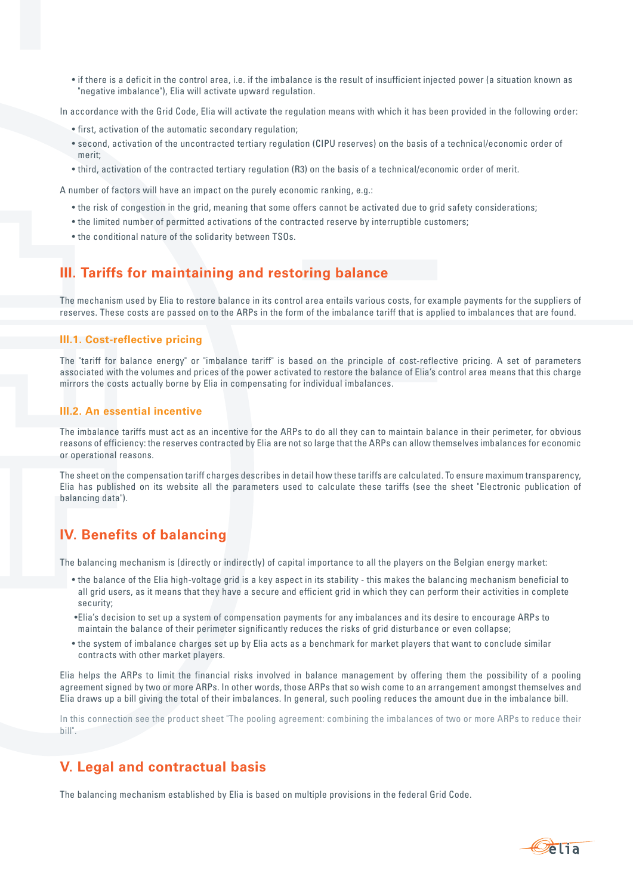• if there is a deficit in the control area, i.e. if the imbalance is the result of insufficient injected power (a situation known as "negative imbalance"), Elia will activate upward regulation.

In accordance with the Grid Code, Elia will activate the regulation means with which it has been provided in the following order:

- first, activation of the automatic secondary regulation;
- • second, activation of the uncontracted tertiary regulation (CIPU reserves) on the basis of a technical/economic order of merit;
- • third, activation of the contracted tertiary regulation (R3) on the basis of a technical/economic order of merit.

A number of factors will have an impact on the purely economic ranking, e.g.:

- • the risk of congestion in the grid, meaning that some offers cannot be activated due to grid safety considerations;
- • the limited number of permitted activations of the contracted reserve by interruptible customers;
- the conditional nature of the solidarity between TSOs.

## **III. Tariffs for maintaining and restoring balance**

The mechanism used by Elia to restore balance in its control area entails various costs, for example payments for the suppliers of reserves. These costs are passed on to the ARPs in the form of the imbalance tariff that is applied to imbalances that are found.

#### **III.1. Cost-reflective pricing**

The "tariff for balance energy" or "imbalance tariff" is based on the principle of cost-reflective pricing. A set of parameters associated with the volumes and prices of the power activated to restore the balance of Elia's control area means that this charge mirrors the costs actually borne by Elia in compensating for individual imbalances.

#### **III.2. An essential incentive**

The imbalance tariffs must act as an incentive for the ARPs to do all they can to maintain balance in their perimeter, for obvious reasons of efficiency: the reserves contracted by Elia are not so large that the ARPs can allow themselves imbalances for economic or operational reasons.

The sheet on the compensation tariff charges describes in detail how these tariffs are calculated. To ensure maximum transparency, Elia has published on its website all the parameters used to calculate these tariffs (see the sheet "Electronic publication of balancing data").

# **IV. Benefits of balancing**

The balancing mechanism is (directly or indirectly) of capital importance to all the players on the Belgian energy market:

- • the balance of the Elia high-voltage grid is a key aspect in its stability this makes the balancing mechanism beneficial to all grid users, as it means that they have a secure and efficient grid in which they can perform their activities in complete security;
- • Elia's decision to set up a system of compensation payments for any imbalances and its desire to encourage ARPs to maintain the balance of their perimeter significantly reduces the risks of grid disturbance or even collapse;
- • the system of imbalance charges set up by Elia acts as a benchmark for market players that want to conclude similar contracts with other market players.

Elia helps the ARPs to limit the financial risks involved in balance management by offering them the possibility of a pooling agreement signed by two or more ARPs. In other words, those ARPs that so wish come to an arrangement amongst themselves and Elia draws up a bill giving the total of their imbalances. In general, such pooling reduces the amount due in the imbalance bill.

In this connection see the product sheet "The pooling agreement: combining the imbalances of two or more ARPs to reduce their bill".

# **V. Legal and contractual basis**

The balancing mechanism established by Elia is based on multiple provisions in the federal Grid Code.